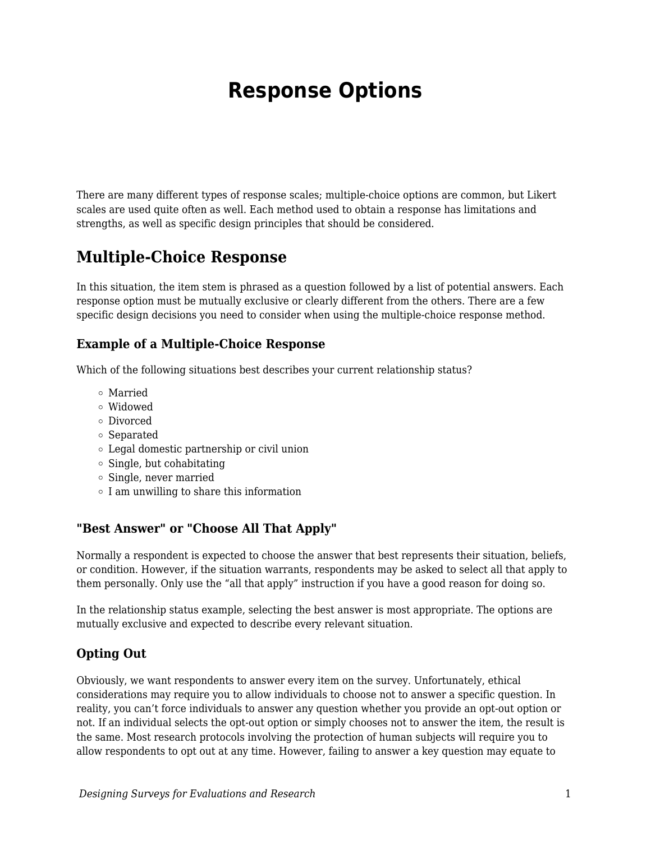# **Response Options**

There are many different types of response scales; multiple-choice options are common, but Likert scales are used quite often as well. Each method used to obtain a response has limitations and strengths, as well as specific design principles that should be considered.

## **Multiple-Choice Response**

In this situation, the item stem is phrased as a question followed by a list of potential answers. Each response option must be mutually exclusive or clearly different from the others. There are a few specific design decisions you need to consider when using the multiple-choice response method.

#### **Example of a Multiple-Choice Response**

Which of the following situations best describes your current relationship status?

- Married
- Widowed
- Divorced
- Separated
- Legal domestic partnership or civil union
- $\circ$  Single, but cohabitating
- Single, never married
- $\circ$  I am unwilling to share this information

#### **"Best Answer" or "Choose All That Apply"**

Normally a respondent is expected to choose the answer that best represents their situation, beliefs, or condition. However, if the situation warrants, respondents may be asked to select all that apply to them personally. Only use the "all that apply" instruction if you have a good reason for doing so.

In the relationship status example, selecting the best answer is most appropriate. The options are mutually exclusive and expected to describe every relevant situation.

#### **Opting Out**

Obviously, we want respondents to answer every item on the survey. Unfortunately, ethical considerations may require you to allow individuals to choose not to answer a specific question. In reality, you can't force individuals to answer any question whether you provide an opt-out option or not. If an individual selects the opt-out option or simply chooses not to answer the item, the result is the same. Most research protocols involving the protection of human subjects will require you to allow respondents to opt out at any time. However, failing to answer a key question may equate to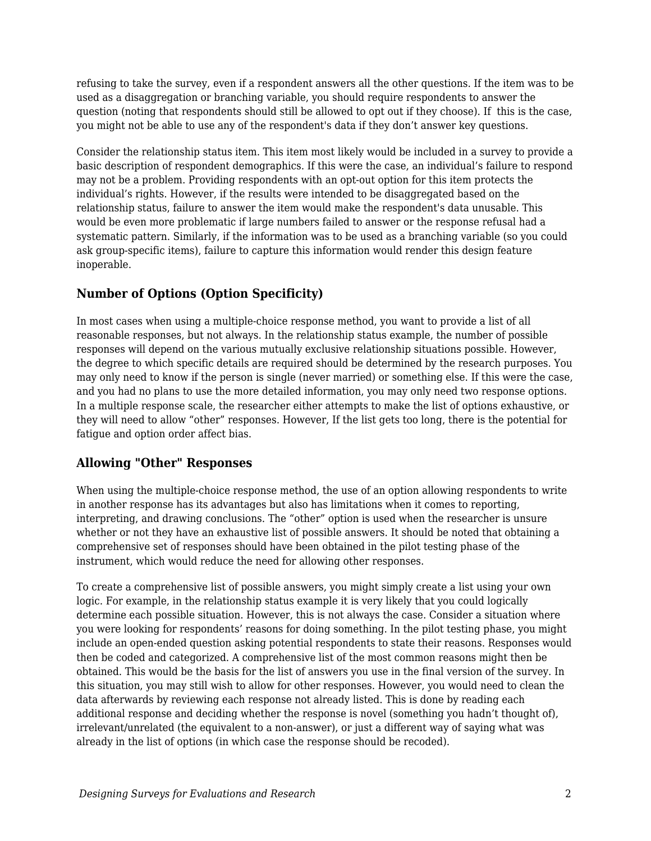refusing to take the survey, even if a respondent answers all the other questions. If the item was to be used as a disaggregation or branching variable, you should require respondents to answer the question (noting that respondents should still be allowed to opt out if they choose). If this is the case, you might not be able to use any of the respondent's data if they don't answer key questions.

Consider the relationship status item. This item most likely would be included in a survey to provide a basic description of respondent demographics. If this were the case, an individual's failure to respond may not be a problem. Providing respondents with an opt-out option for this item protects the individual's rights. However, if the results were intended to be disaggregated based on the relationship status, failure to answer the item would make the respondent's data unusable. This would be even more problematic if large numbers failed to answer or the response refusal had a systematic pattern. Similarly, if the information was to be used as a branching variable (so you could ask group-specific items), failure to capture this information would render this design feature inoperable.

## **Number of Options (Option Specificity)**

In most cases when using a multiple-choice response method, you want to provide a list of all reasonable responses, but not always. In the relationship status example, the number of possible responses will depend on the various mutually exclusive relationship situations possible. However, the degree to which specific details are required should be determined by the research purposes. You may only need to know if the person is single (never married) or something else. If this were the case, and you had no plans to use the more detailed information, you may only need two response options. In a multiple response scale, the researcher either attempts to make the list of options exhaustive, or they will need to allow "other" responses. However, If the list gets too long, there is the potential for fatigue and option order affect bias.

### **Allowing "Other" Responses**

When using the multiple-choice response method, the use of an option allowing respondents to write in another response has its advantages but also has limitations when it comes to reporting, interpreting, and drawing conclusions. The "other" option is used when the researcher is unsure whether or not they have an exhaustive list of possible answers. It should be noted that obtaining a comprehensive set of responses should have been obtained in the pilot testing phase of the instrument, which would reduce the need for allowing other responses.

To create a comprehensive list of possible answers, you might simply create a list using your own logic. For example, in the relationship status example it is very likely that you could logically determine each possible situation. However, this is not always the case. Consider a situation where you were looking for respondents' reasons for doing something. In the pilot testing phase, you might include an open-ended question asking potential respondents to state their reasons. Responses would then be coded and categorized. A comprehensive list of the most common reasons might then be obtained. This would be the basis for the list of answers you use in the final version of the survey. In this situation, you may still wish to allow for other responses. However, you would need to clean the data afterwards by reviewing each response not already listed. This is done by reading each additional response and deciding whether the response is novel (something you hadn't thought of), irrelevant/unrelated (the equivalent to a non-answer), or just a different way of saying what was already in the list of options (in which case the response should be recoded).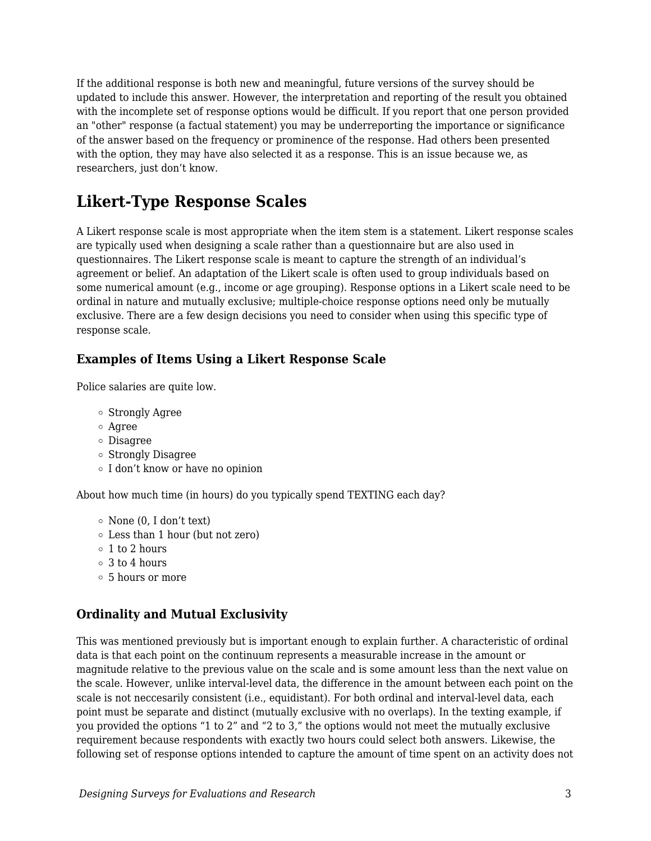If the additional response is both new and meaningful, future versions of the survey should be updated to include this answer. However, the interpretation and reporting of the result you obtained with the incomplete set of response options would be difficult. If you report that one person provided an "other" response (a factual statement) you may be underreporting the importance or significance of the answer based on the frequency or prominence of the response. Had others been presented with the option, they may have also selected it as a response. This is an issue because we, as researchers, just don't know.

# **Likert-Type Response Scales**

A Likert response scale is most appropriate when the item stem is a statement. Likert response scales are typically used when designing a scale rather than a questionnaire but are also used in questionnaires. The Likert response scale is meant to capture the strength of an individual's agreement or belief. An adaptation of the Likert scale is often used to group individuals based on some numerical amount (e.g., income or age grouping). Response options in a Likert scale need to be ordinal in nature and mutually exclusive; multiple-choice response options need only be mutually exclusive. There are a few design decisions you need to consider when using this specific type of response scale.

#### **Examples of Items Using a Likert Response Scale**

Police salaries are quite low.

- Strongly Agree
- Agree
- Disagree
- Strongly Disagree
- I don't know or have no opinion

About how much time (in hours) do you typically spend TEXTING each day?

- $\circ$  None (0, I don't text)
- Less than 1 hour (but not zero)
- 1 to 2 hours
- 3 to 4 hours
- 5 hours or more

#### **Ordinality and Mutual Exclusivity**

This was mentioned previously but is important enough to explain further. A characteristic of ordinal data is that each point on the continuum represents a measurable increase in the amount or magnitude relative to the previous value on the scale and is some amount less than the next value on the scale. However, unlike interval-level data, the difference in the amount between each point on the scale is not neccesarily consistent (i.e., equidistant). For both ordinal and interval-level data, each point must be separate and distinct (mutually exclusive with no overlaps). In the texting example, if you provided the options "1 to 2" and "2 to 3," the options would not meet the mutually exclusive requirement because respondents with exactly two hours could select both answers. Likewise, the following set of response options intended to capture the amount of time spent on an activity does not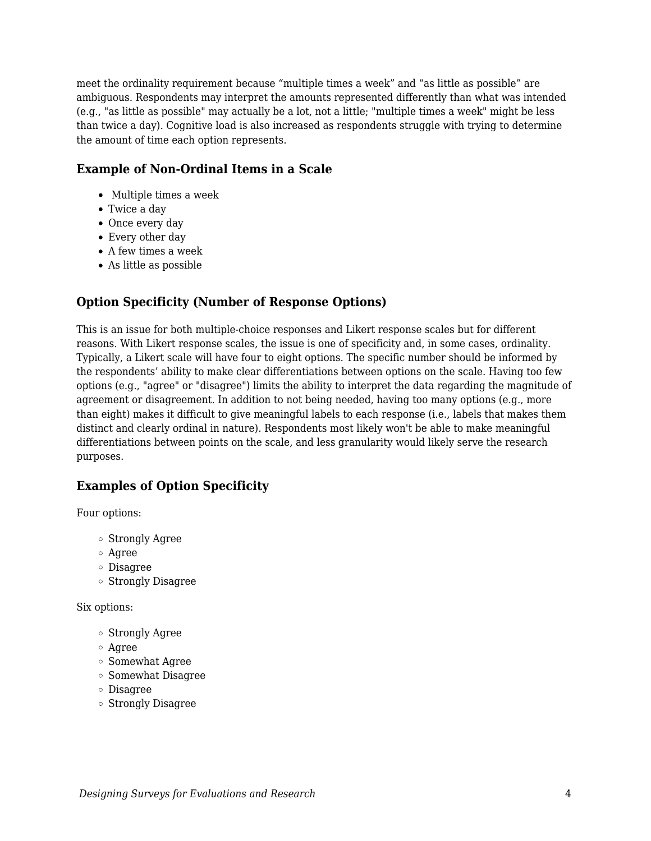meet the ordinality requirement because "multiple times a week" and "as little as possible" are ambiguous. Respondents may interpret the amounts represented differently than what was intended (e.g., "as little as possible" may actually be a lot, not a little; "multiple times a week" might be less than twice a day). Cognitive load is also increased as respondents struggle with trying to determine the amount of time each option represents.

#### **Example of Non-Ordinal Items in a Scale**

- Multiple times a week
- Twice a day
- Once every day
- Every other day
- A few times a week
- As little as possible

#### **Option Specificity (Number of Response Options)**

This is an issue for both multiple-choice responses and Likert response scales but for different reasons. With Likert response scales, the issue is one of specificity and, in some cases, ordinality. Typically, a Likert scale will have four to eight options. The specific number should be informed by the respondents' ability to make clear differentiations between options on the scale. Having too few options (e.g., "agree" or "disagree") limits the ability to interpret the data regarding the magnitude of agreement or disagreement. In addition to not being needed, having too many options (e.g., more than eight) makes it difficult to give meaningful labels to each response (i.e., labels that makes them distinct and clearly ordinal in nature). Respondents most likely won't be able to make meaningful differentiations between points on the scale, and less granularity would likely serve the research purposes.

### **Examples of Option Specificity**

Four options:

- Strongly Agree
- Agree
- Disagree
- Strongly Disagree

Six options:

- Strongly Agree
- Agree
- Somewhat Agree
- Somewhat Disagree
- Disagree
- Strongly Disagree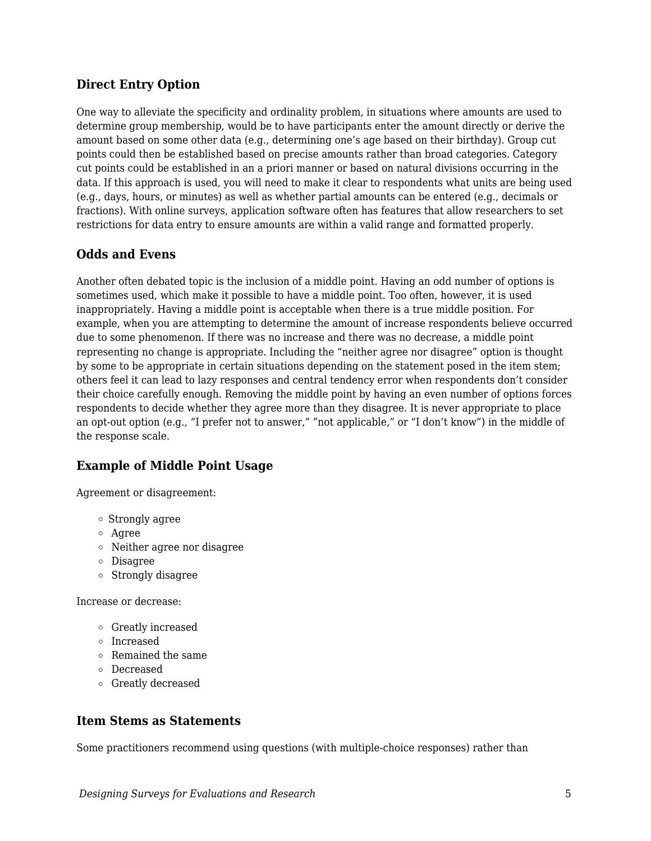#### **Direct Entry Option**

One way to alleviate the specificity and ordinality problem, in situations where amounts are used to determine group membership, would be to have participants enter the amount directly or derive the amount based on some other data (e.g., determining one's age based on their birthday). Group cut points could then be established based on precise amounts rather than broad categories. Category cut points could be established in an a priori manner or based on natural divisions occurring in the data. If this approach is used, you will need to make it clear to respondents what units are being used (e.g., days, hours, or minutes) as well as whether partial amounts can be entered (e.g., decimals or fractions). With online surveys, application software often has features that allow researchers to set restrictions for data entry to ensure amounts are within a valid range and formatted properly.

#### **Odds and Evens**

Another often debated topic is the inclusion of a middle point. Having an odd number of options is sometimes used, which make it possible to have a middle point. Too often, however, it is used inappropriately. Having a middle point is acceptable when there is a true middle position. For example, when you are attempting to determine the amount of increase respondents believe occurred due to some phenomenon. If there was no increase and there was no decrease, a middle point representing no change is appropriate. Including the "neither agree nor disagree" option is thought by some to be appropriate in certain situations depending on the statement posed in the item stem; others feel it can lead to lazy responses and central tendency error when respondents don't consider their choice carefully enough. Removing the middle point by having an even number of options forces respondents to decide whether they agree more than they disagree. It is never appropriate to place an opt-out option (e.g., "I prefer not to answer," "not applicable," or "I don't know") in the middle of the response scale.

#### **Example of Middle Point Usage**

Agreement or disagreement:

- Strongly agree
- Agree
- Neither agree nor disagree
- Disagree
- Strongly disagree

Increase or decrease:

- Greatly increased
- Increased
- Remained the same
- Decreased
- Greatly decreased

#### **Item Stems as Statements**

Some practitioners recommend using questions (with multiple-choice responses) rather than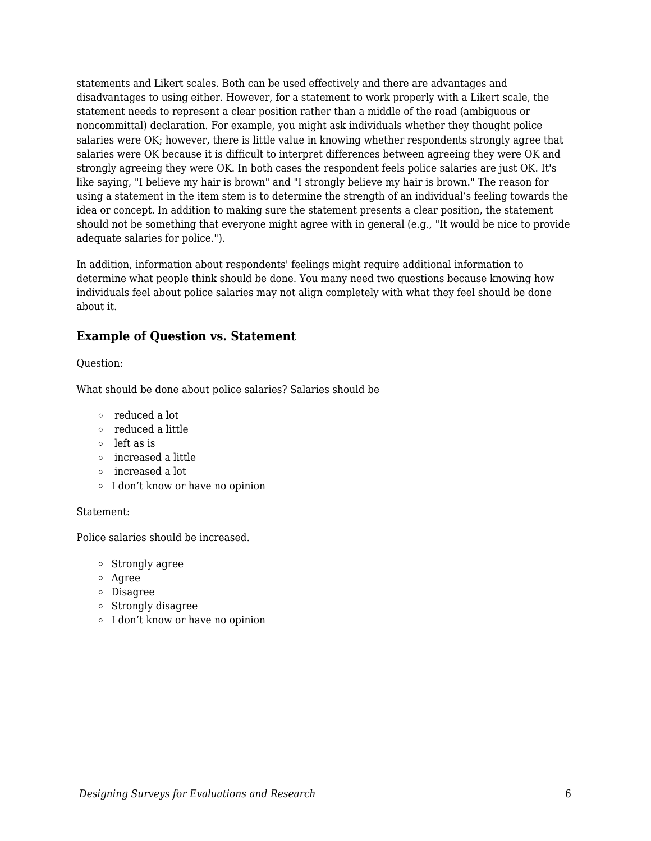statements and Likert scales. Both can be used effectively and there are advantages and disadvantages to using either. However, for a statement to work properly with a Likert scale, the statement needs to represent a clear position rather than a middle of the road (ambiguous or noncommittal) declaration. For example, you might ask individuals whether they thought police salaries were OK; however, there is little value in knowing whether respondents strongly agree that salaries were OK because it is difficult to interpret differences between agreeing they were OK and strongly agreeing they were OK. In both cases the respondent feels police salaries are just OK. It's like saying, "I believe my hair is brown" and "I strongly believe my hair is brown." The reason for using a statement in the item stem is to determine the strength of an individual's feeling towards the idea or concept. In addition to making sure the statement presents a clear position, the statement should not be something that everyone might agree with in general (e.g., "It would be nice to provide adequate salaries for police.").

In addition, information about respondents' feelings might require additional information to determine what people think should be done. You many need two questions because knowing how individuals feel about police salaries may not align completely with what they feel should be done about it.

#### **Example of Question vs. Statement**

#### Question:

What should be done about police salaries? Salaries should be

- reduced a lot
- reduced a little
- left as is
- increased a little
- increased a lot
- I don't know or have no opinion

#### Statement:

Police salaries should be increased.

- Strongly agree
- Agree
- Disagree
- Strongly disagree
- I don't know or have no opinion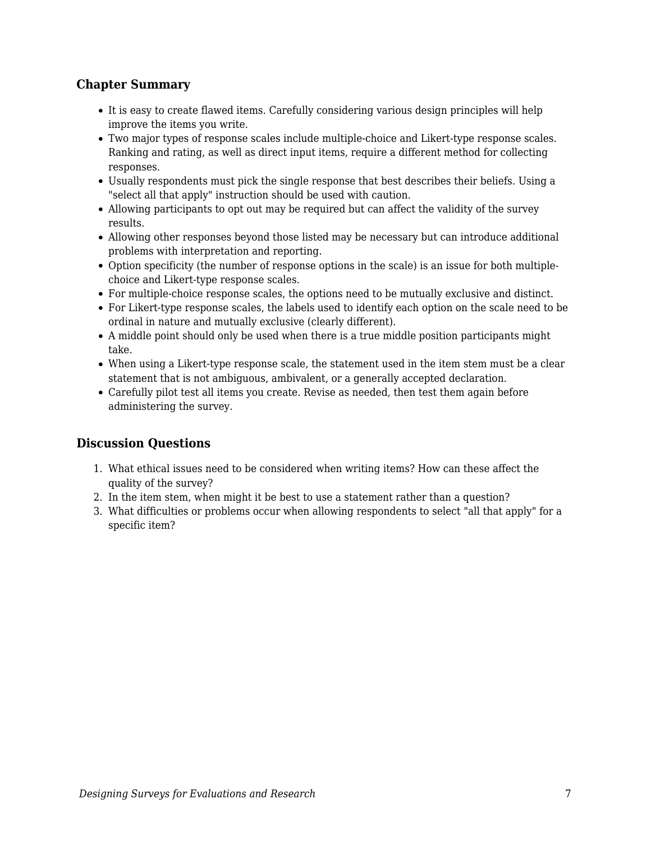#### **Chapter Summary**

- It is easy to create flawed items. Carefully considering various design principles will help improve the items you write.
- Two major types of response scales include multiple-choice and Likert-type response scales. Ranking and rating, as well as direct input items, require a different method for collecting responses.
- Usually respondents must pick the single response that best describes their beliefs. Using a "select all that apply" instruction should be used with caution.
- Allowing participants to opt out may be required but can affect the validity of the survey results.
- Allowing other responses beyond those listed may be necessary but can introduce additional problems with interpretation and reporting.
- Option specificity (the number of response options in the scale) is an issue for both multiplechoice and Likert-type response scales.
- For multiple-choice response scales, the options need to be mutually exclusive and distinct.
- For Likert-type response scales, the labels used to identify each option on the scale need to be ordinal in nature and mutually exclusive (clearly different).
- A middle point should only be used when there is a true middle position participants might take.
- When using a Likert-type response scale, the statement used in the item stem must be a clear statement that is not ambiguous, ambivalent, or a generally accepted declaration.
- Carefully pilot test all items you create. Revise as needed, then test them again before administering the survey.

#### **Discussion Questions**

- 1. What ethical issues need to be considered when writing items? How can these affect the quality of the survey?
- 2. In the item stem, when might it be best to use a statement rather than a question?
- 3. What difficulties or problems occur when allowing respondents to select "all that apply" for a specific item?